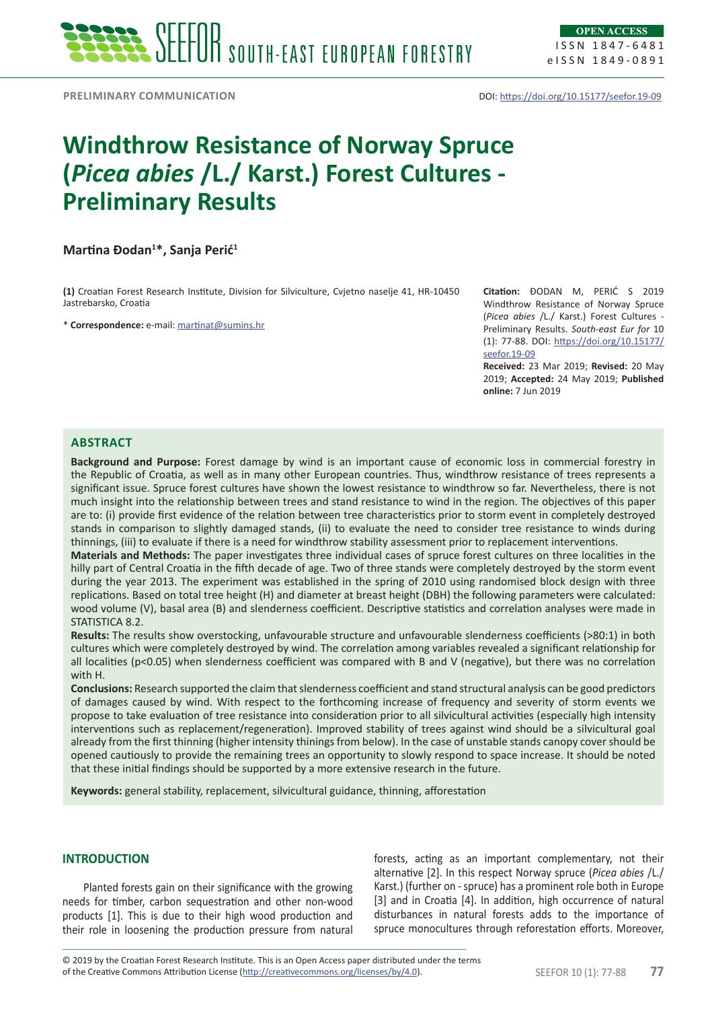ISSN 1847-6481 eISSN 1849-0891

PRELIMINARY COMMUNICATION **DOI:**<https://doi.org/10.15177/seefor.19-09>

# **Windthrow Resistance of Norway Spruce (***Picea abies* **/L./ Karst.) Forest Cultures - Preliminary Results**

**Martina Đodan<sup>1</sup> \*, Sanja Perić<sup>1</sup>**

**(1)** Croatian Forest Research Institute, Division for Silviculture, Cvjetno naselje 41, HR-10450 Jastrebarsko, Croatia

\* **Correspondence:** e-mail: [martinat@sumins.hr](mailto:martinat@sumins.hr)

**Citation:** ĐODAN M, PERIĆ S 2019 Windthrow Resistance of Norway Spruce (*Picea abies* /L./ Karst.) Forest Cultures - Preliminary Results. *South-east Eur for* 10 (1): 77-88. DOI: [https://doi.org/10.15177/](https://doi.org/10.15177/seefor.19-09) [seefor.19-09](https://doi.org/10.15177/seefor.19-09)

**Received:** 23 Mar 2019; **Revised:** 20 May 2019; **Accepted:** 24 May 2019; **Published online:** 7 Jun 2019

# **Abstract**

**Background and Purpose:** Forest damage by wind is an important cause of economic loss in commercial forestry in the Republic of Croatia, as well as in many other European countries. Thus, windthrow resistance of trees represents a significant issue. Spruce forest cultures have shown the lowest resistance to windthrow so far. Nevertheless, there is not much insight into the relationship between trees and stand resistance to wind in the region. The objectives of this paper are to: (i) provide first evidence of the relation between tree characteristics prior to storm event in completely destroyed stands in comparison to slightly damaged stands, (ii) to evaluate the need to consider tree resistance to winds during thinnings, (iii) to evaluate if there is a need for windthrow stability assessment prior to replacement interventions.

**Materials and Methods:** The paper investigates three individual cases of spruce forest cultures on three localities in the hilly part of Central Croatia in the fifth decade of age. Two of three stands were completely destroyed by the storm event during the year 2013. The experiment was established in the spring of 2010 using randomised block design with three replications. Based on total tree height (H) and diameter at breast height (DBH) the following parameters were calculated: wood volume (V), basal area (B) and slenderness coefficient. Descriptive statistics and correlation analyses were made in STATISTICA 8.2.

**Results:** The results show overstocking, unfavourable structure and unfavourable slenderness coefficients (>80:1) in both cultures which were completely destroyed by wind. The correlation among variables revealed a significant relationship for all localities (p<0.05) when slenderness coefficient was compared with B and V (negative), but there was no correlation with H.

**Conclusions:** Research supported the claim that slenderness coefficient and stand structural analysis can be good predictors of damages caused by wind. With respect to the forthcoming increase of frequency and severity of storm events we propose to take evaluation of tree resistance into consideration prior to all silvicultural activities (especially high intensity interventions such as replacement/regeneration). Improved stability of trees against wind should be a silvicultural goal already from the first thinning (higher intensity thinings from below). In the case of unstable stands canopy cover should be opened cautiously to provide the remaining trees an opportunity to slowly respond to space increase. It should be noted that these initial findings should be supported by a more extensive research in the future.

**Keywords:** general stability, replacement, silvicultural guidance, thinning, afforestation

# **INTRODUCTION**

Planted forests gain on their significance with the growing needs for timber, carbon sequestration and other non-wood products [1]. This is due to their high wood production and their role in loosening the production pressure from natural

forests, acting as an important complementary, not their alternative [2]. In this respect Norway spruce (*Picea abies* /L./ Karst.) (further on - spruce) has a prominent role both in Europe [3] and in Croatia [4]. In addition, high occurrence of natural disturbances in natural forests adds to the importance of spruce monocultures through reforestation efforts. Moreover,

of the Creative Commons Attribution License (<http://creativecommons.org/licenses/by/4.0>). SEEFOR 10 (1): 77-88 **77** © 2019 by the Croatian Forest Research Institute. This is an Open Access paper distributed under the terms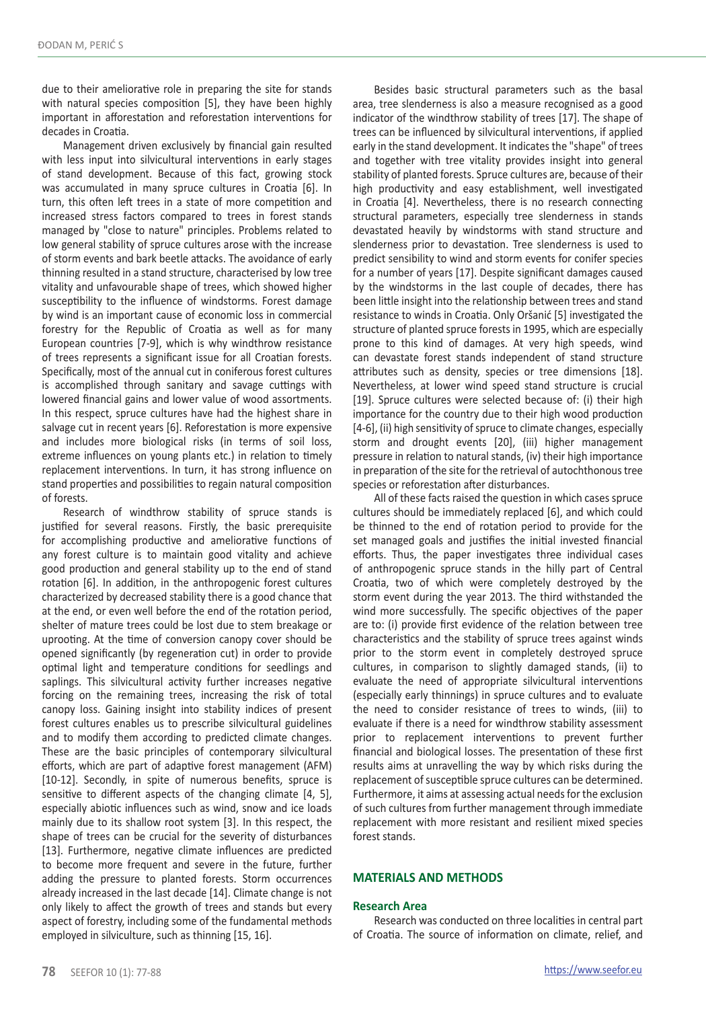due to their ameliorative role in preparing the site for stands with natural species composition [5], they have been highly important in afforestation and reforestation interventions for decades in Croatia.

Management driven exclusively by financial gain resulted with less input into silvicultural interventions in early stages of stand development. Because of this fact, growing stock was accumulated in many spruce cultures in Croatia [6]. In turn, this often left trees in a state of more competition and increased stress factors compared to trees in forest stands managed by "close to nature" principles. Problems related to low general stability of spruce cultures arose with the increase of storm events and bark beetle attacks. The avoidance of early thinning resulted in a stand structure, characterised by low tree vitality and unfavourable shape of trees, which showed higher susceptibility to the influence of windstorms. Forest damage by wind is an important cause of economic loss in commercial forestry for the Republic of Croatia as well as for many European countries [7-9], which is why windthrow resistance of trees represents a significant issue for all Croatian forests. Specifically, most of the annual cut in coniferous forest cultures is accomplished through sanitary and savage cuttings with lowered financial gains and lower value of wood assortments. In this respect, spruce cultures have had the highest share in salvage cut in recent years [6]. Reforestation is more expensive and includes more biological risks (in terms of soil loss, extreme influences on young plants etc.) in relation to timely replacement interventions. In turn, it has strong influence on stand properties and possibilities to regain natural composition of forests.

Research of windthrow stability of spruce stands is justified for several reasons. Firstly, the basic prerequisite for accomplishing productive and ameliorative functions of any forest culture is to maintain good vitality and achieve good production and general stability up to the end of stand rotation [6]. In addition, in the anthropogenic forest cultures characterized by decreased stability there is a good chance that at the end, or even well before the end of the rotation period, shelter of mature trees could be lost due to stem breakage or uprooting. At the time of conversion canopy cover should be opened significantly (by regeneration cut) in order to provide optimal light and temperature conditions for seedlings and saplings. This silvicultural activity further increases negative forcing on the remaining trees, increasing the risk of total canopy loss. Gaining insight into stability indices of present forest cultures enables us to prescribe silvicultural guidelines and to modify them according to predicted climate changes. These are the basic principles of contemporary silvicultural efforts, which are part of adaptive forest management (AFM) [10-12]. Secondly, in spite of numerous benefits, spruce is sensitive to different aspects of the changing climate [4, 5], especially abiotic influences such as wind, snow and ice loads mainly due to its shallow root system [3]. In this respect, the shape of trees can be crucial for the severity of disturbances [13]. Furthermore, negative climate influences are predicted to become more frequent and severe in the future, further adding the pressure to planted forests. Storm occurrences already increased in the last decade [14]. Climate change is not only likely to affect the growth of trees and stands but every aspect of forestry, including some of the fundamental methods employed in silviculture, such as thinning [15, 16].

Besides basic structural parameters such as the basal area, tree slenderness is also a measure recognised as a good indicator of the windthrow stability of trees [17]. The shape of trees can be influenced by silvicultural interventions, if applied early in the stand development. It indicates the "shape" of trees and together with tree vitality provides insight into general stability of planted forests. Spruce cultures are, because of their high productivity and easy establishment, well investigated in Croatia [4]. Nevertheless, there is no research connecting structural parameters, especially tree slenderness in stands devastated heavily by windstorms with stand structure and slenderness prior to devastation. Tree slenderness is used to predict sensibility to wind and storm events for conifer species for a number of years [17]. Despite significant damages caused by the windstorms in the last couple of decades, there has been little insight into the relationship between trees and stand resistance to winds in Croatia. Only Oršanić [5] investigated the structure of planted spruce forests in 1995, which are especially prone to this kind of damages. At very high speeds, wind can devastate forest stands independent of stand structure attributes such as density, species or tree dimensions [18]. Nevertheless, at lower wind speed stand structure is crucial [19]. Spruce cultures were selected because of: (i) their high importance for the country due to their high wood production [4-6], (ii) high sensitivity of spruce to climate changes, especially storm and drought events [20], (iii) higher management pressure in relation to natural stands, (iv) their high importance in preparation of the site for the retrieval of autochthonous tree species or reforestation after disturbances.

All of these facts raised the question in which cases spruce cultures should be immediately replaced [6], and which could be thinned to the end of rotation period to provide for the set managed goals and justifies the initial invested financial efforts. Thus, the paper investigates three individual cases of anthropogenic spruce stands in the hilly part of Central Croatia, two of which were completely destroyed by the storm event during the year 2013. The third withstanded the wind more successfully. The specific objectives of the paper are to: (i) provide first evidence of the relation between tree characteristics and the stability of spruce trees against winds prior to the storm event in completely destroyed spruce cultures, in comparison to slightly damaged stands, (ii) to evaluate the need of appropriate silvicultural interventions (especially early thinnings) in spruce cultures and to evaluate the need to consider resistance of trees to winds, (iii) to evaluate if there is a need for windthrow stability assessment prior to replacement interventions to prevent further financial and biological losses. The presentation of these first results aims at unravelling the way by which risks during the replacement of susceptible spruce cultures can be determined. Furthermore, it aims at assessing actual needs for the exclusion of such cultures from further management through immediate replacement with more resistant and resilient mixed species forest stands.

## **MATERIALS AND METHODS**

#### **Research Area**

Research was conducted on three localities in central part of Croatia. The source of information on climate, relief, and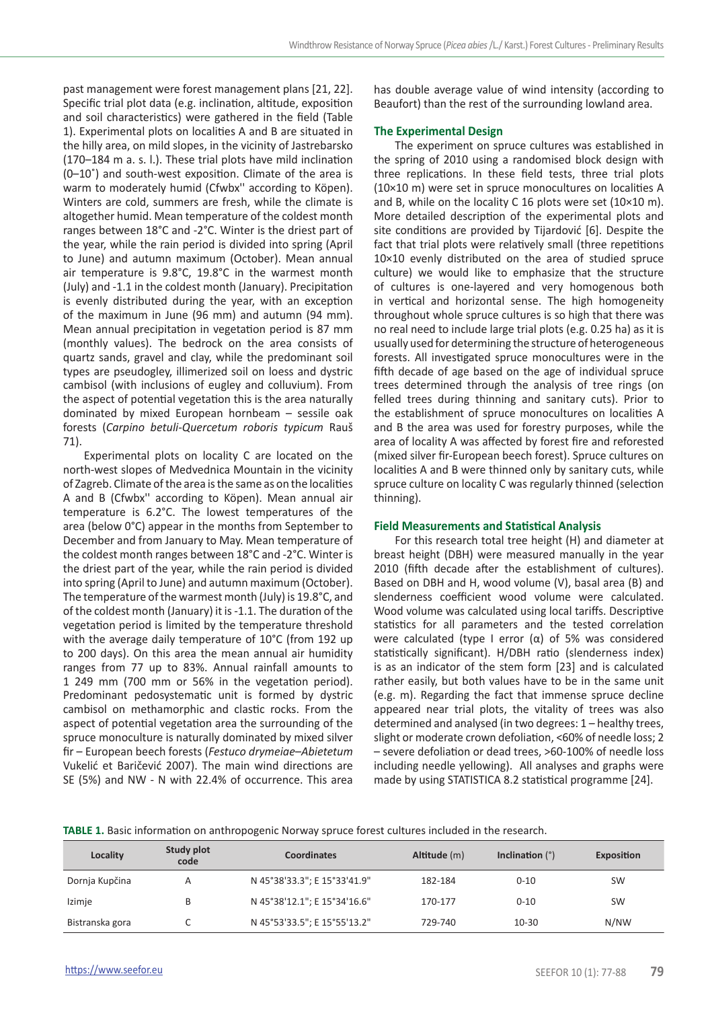past management were forest management plans [21, 22]. Specific trial plot data (e.g. inclination, altitude, exposition and soil characteristics) were gathered in the field (Table 1). Experimental plots on localities A and B are situated in the hilly area, on mild slopes, in the vicinity of Jastrebarsko (170–184 m a. s. l.). These trial plots have mild inclination (0–10˚) and south-west exposition. Climate of the area is warm to moderately humid (Cfwbx'' according to Köpen). Winters are cold, summers are fresh, while the climate is altogether humid. Mean temperature of the coldest month ranges between 18°C and -2°C. Winter is the driest part of the year, while the rain period is divided into spring (April to June) and autumn maximum (October). Mean annual air temperature is 9.8°C, 19.8°C in the warmest month (July) and -1.1 in the coldest month (January). Precipitation is evenly distributed during the year, with an exception of the maximum in June (96 mm) and autumn (94 mm). Mean annual precipitation in vegetation period is 87 mm (monthly values). The bedrock on the area consists of quartz sands, gravel and clay, while the predominant soil types are pseudogley, illimerized soil on loess and dystric cambisol (with inclusions of eugley and colluvium). From the aspect of potential vegetation this is the area naturally dominated by mixed European hornbeam – sessile oak forests (*Carpino betuli-Quercetum roboris typicum* Rauš 71).

Experimental plots on locality C are located on the north-west slopes of Medvednica Mountain in the vicinity of Zagreb. Climate of the area is the same as on the localities A and B (Cfwbx'' according to Köpen). Mean annual air temperature is 6.2°C. The lowest temperatures of the area (below 0°C) appear in the months from September to December and from January to May. Mean temperature of the coldest month ranges between 18°C and -2°C. Winter is the driest part of the year, while the rain period is divided into spring (April to June) and autumn maximum (October). The temperature of the warmest month (July) is 19.8°C, and of the coldest month (January) it is -1.1. The duration of the vegetation period is limited by the temperature threshold with the average daily temperature of 10°C (from 192 up to 200 days). On this area the mean annual air humidity ranges from 77 up to 83%. Annual rainfall amounts to 1 249 mm (700 mm or 56% in the vegetation period). Predominant pedosystematic unit is formed by dystric cambisol on methamorphic and clastic rocks. From the aspect of potential vegetation area the surrounding of the spruce monoculture is naturally dominated by mixed silver fir – European beech forests (*Festuco drymeiae–Abietetum*  Vukelić et Baričević 2007). The main wind directions are SE (5%) and NW - N with 22.4% of occurrence. This area

has double average value of wind intensity (according to Beaufort) than the rest of the surrounding lowland area.

## **The Experimental Design**

The experiment on spruce cultures was established in the spring of 2010 using a randomised block design with three replications. In these field tests, three trial plots (10×10 m) were set in spruce monocultures on localities A and B, while on the locality C 16 plots were set (10×10 m). More detailed description of the experimental plots and site conditions are provided by Tijardović [6]. Despite the fact that trial plots were relatively small (three repetitions 10×10 evenly distributed on the area of studied spruce culture) we would like to emphasize that the structure of cultures is one-layered and very homogenous both in vertical and horizontal sense. The high homogeneity throughout whole spruce cultures is so high that there was no real need to include large trial plots (e.g. 0.25 ha) as it is usually used for determining the structure of heterogeneous forests. All investigated spruce monocultures were in the fifth decade of age based on the age of individual spruce trees determined through the analysis of tree rings (on felled trees during thinning and sanitary cuts). Prior to the establishment of spruce monocultures on localities A and B the area was used for forestry purposes, while the area of locality A was affected by forest fire and reforested (mixed silver fir-European beech forest). Spruce cultures on localities A and B were thinned only by sanitary cuts, while spruce culture on locality C was regularly thinned (selection thinning).

#### **Field Measurements and Statistical Analysis**

For this research total tree height (H) and diameter at breast height (DBH) were measured manually in the year 2010 (fifth decade after the establishment of cultures). Based on DBH and H, wood volume (V), basal area (B) and slenderness coefficient wood volume were calculated. Wood volume was calculated using local tariffs. Descriptive statistics for all parameters and the tested correlation were calculated (type I error  $(α)$  of 5% was considered statistically significant). H/DBH ratio (slenderness index) is as an indicator of the stem form [23] and is calculated rather easily, but both values have to be in the same unit (e.g. m). Regarding the fact that immense spruce decline appeared near trial plots, the vitality of trees was also determined and analysed (in two degrees: 1 – healthy trees, slight or moderate crown defoliation, <60% of needle loss; 2 – severe defoliation or dead trees, >60-100% of needle loss including needle yellowing). All analyses and graphs were made by using STATISTICA 8.2 statistical programme [24].

**TABLE 1.** Basic information on anthropogenic Norway spruce forest cultures included in the research.

| Locality        | Study plot<br>code | Coordinates                  | Altitude (m) | Inclination $(°)$ | Exposition |
|-----------------|--------------------|------------------------------|--------------|-------------------|------------|
| Dornja Kupčina  | А                  | N 45°38'33.3"; E 15°33'41.9" | 182-184      | $0 - 10$          | <b>SW</b>  |
| Izimje          |                    | N 45°38'12.1"; E 15°34'16.6" | 170-177      | $0 - 10$          | <b>SW</b>  |
| Bistranska gora |                    | N 45°53'33.5"; E 15°55'13.2" | 729-740      | $10-30$           | N/NW       |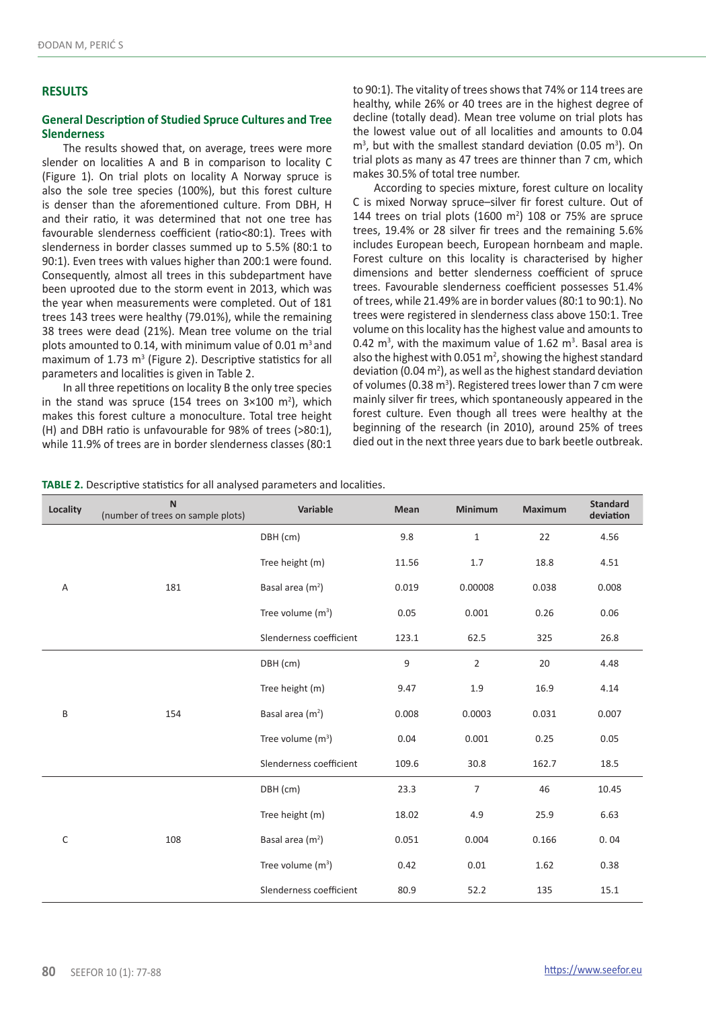#### **RESULTS**

#### **General Description of Studied Spruce Cultures and Tree Slenderness**

The results showed that, on average, trees were more slender on localities A and B in comparison to locality C (Figure 1). On trial plots on locality A Norway spruce is also the sole tree species (100%), but this forest culture is denser than the aforementioned culture. From DBH, H and their ratio, it was determined that not one tree has favourable slenderness coefficient (ratio<80:1). Trees with slenderness in border classes summed up to 5.5% (80:1 to 90:1). Even trees with values higher than 200:1 were found. Consequently, almost all trees in this subdepartment have been uprooted due to the storm event in 2013, which was the year when measurements were completed. Out of 181 trees 143 trees were healthy (79.01%), while the remaining 38 trees were dead (21%). Mean tree volume on the trial plots amounted to 0.14, with minimum value of 0.01  $\text{m}^3$  and maximum of  $1.73 \text{ m}^3$  (Figure 2). Descriptive statistics for all parameters and localities is given in Table 2.

In all three repetitions on locality B the only tree species in the stand was spruce (154 trees on  $3\times100$  m<sup>2</sup>), which makes this forest culture a monoculture. Total tree height (H) and DBH ratio is unfavourable for 98% of trees (>80:1), while 11.9% of trees are in border slenderness classes (80:1

to 90:1). The vitality of trees shows that 74% or 114 trees are healthy, while 26% or 40 trees are in the highest degree of decline (totally dead). Mean tree volume on trial plots has the lowest value out of all localities and amounts to 0.04  $m<sup>3</sup>$ , but with the smallest standard deviation (0.05 m<sup>3</sup>). On trial plots as many as 47 trees are thinner than 7 cm, which makes 30.5% of total tree number.

According to species mixture, forest culture on locality C is mixed Norway spruce–silver fir forest culture. Out of 144 trees on trial plots (1600  $m<sup>2</sup>$ ) 108 or 75% are spruce trees, 19.4% or 28 silver fir trees and the remaining 5.6% includes European beech, European hornbeam and maple. Forest culture on this locality is characterised by higher dimensions and better slenderness coefficient of spruce trees. Favourable slenderness coefficient possesses 51.4% of trees, while 21.49% are in border values (80:1 to 90:1). No trees were registered in slenderness class above 150:1. Tree volume on this locality has the highest value and amounts to 0.42  $m<sup>3</sup>$ , with the maximum value of 1.62  $m<sup>3</sup>$ . Basal area is also the highest with 0.051  $m^2$ , showing the highest standard deviation (0.04  $m^2$ ), as well as the highest standard deviation of volumes (0.38  $m<sup>3</sup>$ ). Registered trees lower than 7 cm were mainly silver fir trees, which spontaneously appeared in the forest culture. Even though all trees were healthy at the beginning of the research (in 2010), around 25% of trees died out in the next three years due to bark beetle outbreak.

**TABLE 2.** Descriptive statistics for all analysed parameters and localities.

| Locality | $\mathbf N$<br>(number of trees on sample plots) | Variable                     | Mean  | <b>Minimum</b> | <b>Maximum</b> | <b>Standard</b><br>deviation |
|----------|--------------------------------------------------|------------------------------|-------|----------------|----------------|------------------------------|
| A        | 181                                              | DBH (cm)                     | 9.8   | $\mathbf{1}$   | 22             | 4.56                         |
|          |                                                  | Tree height (m)              | 11.56 | 1.7            | 18.8           | 4.51                         |
|          |                                                  | Basal area (m <sup>2</sup> ) | 0.019 | 0.00008        | 0.038          | 0.008                        |
|          |                                                  | Tree volume $(m^3)$          | 0.05  | 0.001          | 0.26           | 0.06                         |
|          |                                                  | Slenderness coefficient      | 123.1 | 62.5           | 325            | 26.8                         |
| B        | 154                                              | DBH (cm)                     | 9     | $\overline{2}$ | 20             | 4.48                         |
|          |                                                  | Tree height (m)              | 9.47  | 1.9            | 16.9           | 4.14                         |
|          |                                                  | Basal area (m <sup>2</sup> ) | 0.008 | 0.0003         | 0.031          | 0.007                        |
|          |                                                  | Tree volume $(m^3)$          | 0.04  | 0.001          | 0.25           | 0.05                         |
|          |                                                  | Slenderness coefficient      | 109.6 | 30.8           | 162.7          | 18.5                         |
| C        | 108                                              | DBH (cm)                     | 23.3  | $\overline{7}$ | 46             | 10.45                        |
|          |                                                  | Tree height (m)              | 18.02 | 4.9            | 25.9           | 6.63                         |
|          |                                                  | Basal area (m <sup>2</sup> ) | 0.051 | 0.004          | 0.166          | 0.04                         |
|          |                                                  | Tree volume $(m^3)$          | 0.42  | 0.01           | 1.62           | 0.38                         |
|          |                                                  | Slenderness coefficient      | 80.9  | 52.2           | 135            | 15.1                         |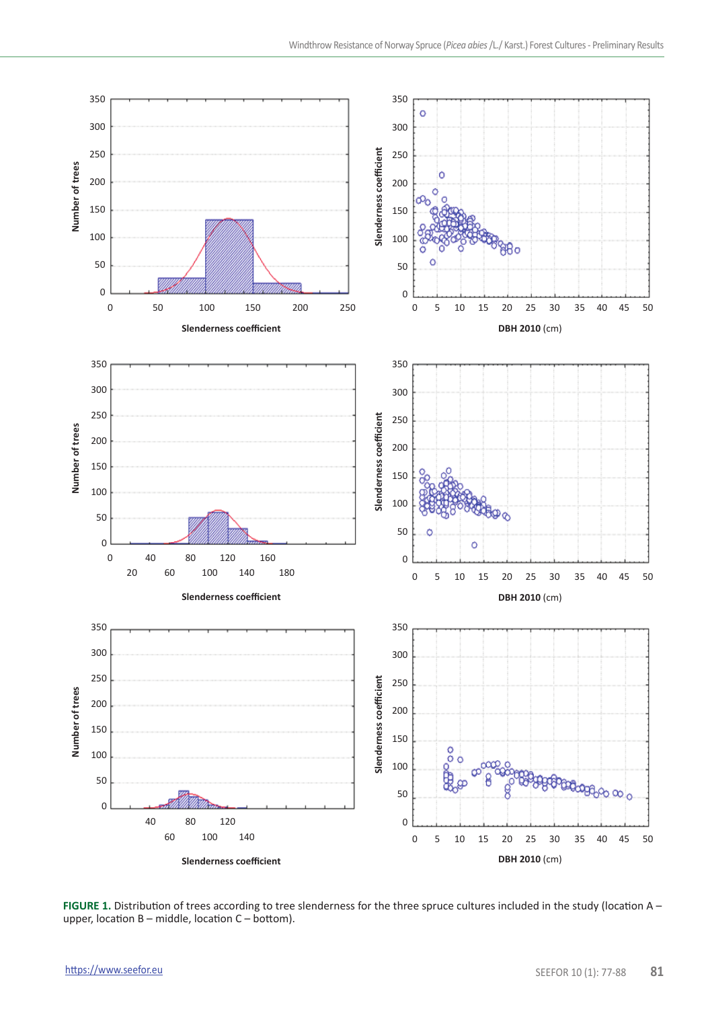

**FIGURE 1.** Distribution of trees according to tree slenderness for the three spruce cultures included in the study (location A – upper, location  $B$  – middle, location  $C$  – bottom).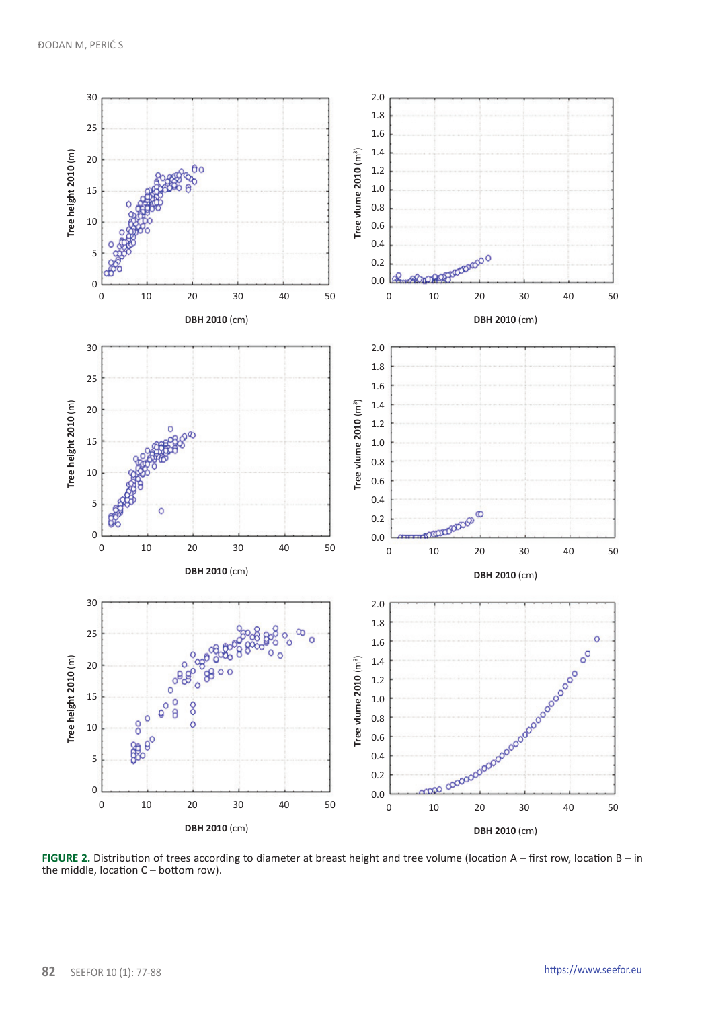

**FIGURE 2.** Distribution of trees according to diameter at breast height and tree volume (location A – first row, location B – in the middle, location C – bottom row).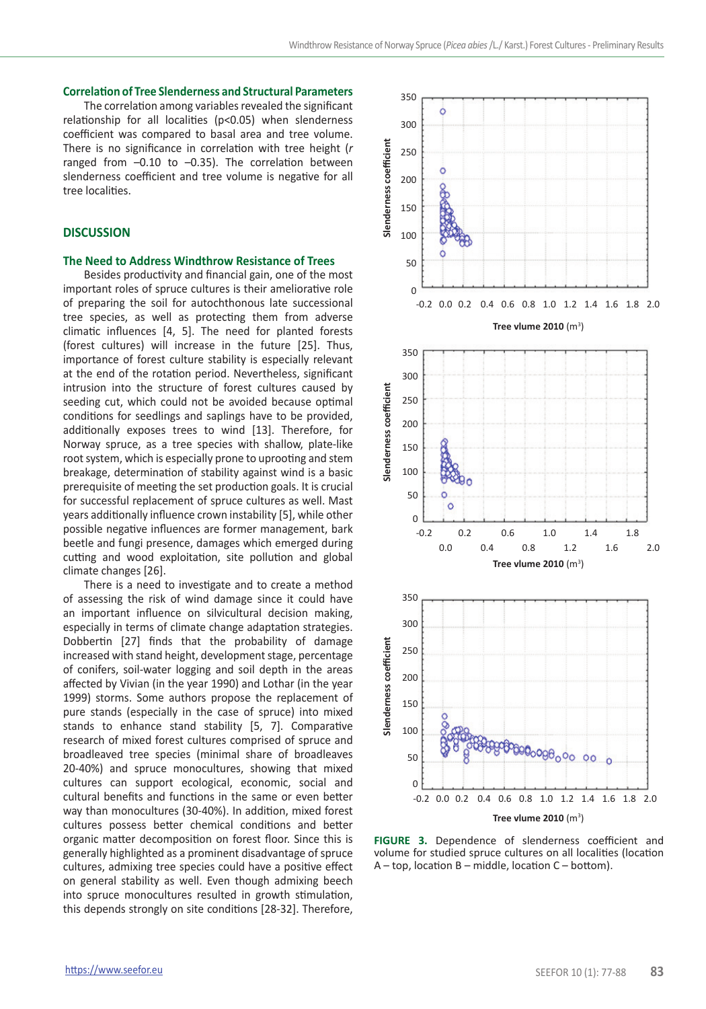#### **Correlation of Tree Slenderness and Structural Parameters**

The correlation among variables revealed the significant relationship for all localities (p<0.05) when slenderness coefficient was compared to basal area and tree volume. There is no significance in correlation with tree height (*r* ranged from  $-0.10$  to  $-0.35$ ). The correlation between slenderness coefficient and tree volume is negative for all tree localities.

## **DISCUSSION**

#### **The Need to Address Windthrow Resistance of Trees**

Besides productivity and financial gain, one of the most important roles of spruce cultures is their ameliorative role of preparing the soil for autochthonous late successional tree species, as well as protecting them from adverse climatic influences [4, 5]. The need for planted forests (forest cultures) will increase in the future [25]. Thus, importance of forest culture stability is especially relevant at the end of the rotation period. Nevertheless, significant intrusion into the structure of forest cultures caused by seeding cut, which could not be avoided because optimal conditions for seedlings and saplings have to be provided, additionally exposes trees to wind [13]. Therefore, for Norway spruce, as a tree species with shallow, plate-like root system, which is especially prone to uprooting and stem breakage, determination of stability against wind is a basic prerequisite of meeting the set production goals. It is crucial for successful replacement of spruce cultures as well. Mast years additionally influence crown instability [5], while other possible negative influences are former management, bark beetle and fungi presence, damages which emerged during cutting and wood exploitation, site pollution and global climate changes [26].

There is a need to investigate and to create a method of assessing the risk of wind damage since it could have an important influence on silvicultural decision making, especially in terms of climate change adaptation strategies. Dobbertin [27] finds that the probability of damage increased with stand height, development stage, percentage of conifers, soil-water logging and soil depth in the areas affected by Vivian (in the year 1990) and Lothar (in the year 1999) storms. Some authors propose the replacement of pure stands (especially in the case of spruce) into mixed stands to enhance stand stability [5, 7]. Comparative research of mixed forest cultures comprised of spruce and broadleaved tree species (minimal share of broadleaves 20-40%) and spruce monocultures, showing that mixed cultures can support ecological, economic, social and cultural benefits and functions in the same or even better way than monocultures (30-40%). In addition, mixed forest cultures possess better chemical conditions and better organic matter decomposition on forest floor. Since this is generally highlighted as a prominent disadvantage of spruce cultures, admixing tree species could have a positive effect on general stability as well. Even though admixing beech into spruce monocultures resulted in growth stimulation, this depends strongly on site conditions [28-32]. Therefore,



**FIGURE 3.** Dependence of slenderness coefficient and volume for studied spruce cultures on all localities (location A – top, location B – middle, location C – bottom).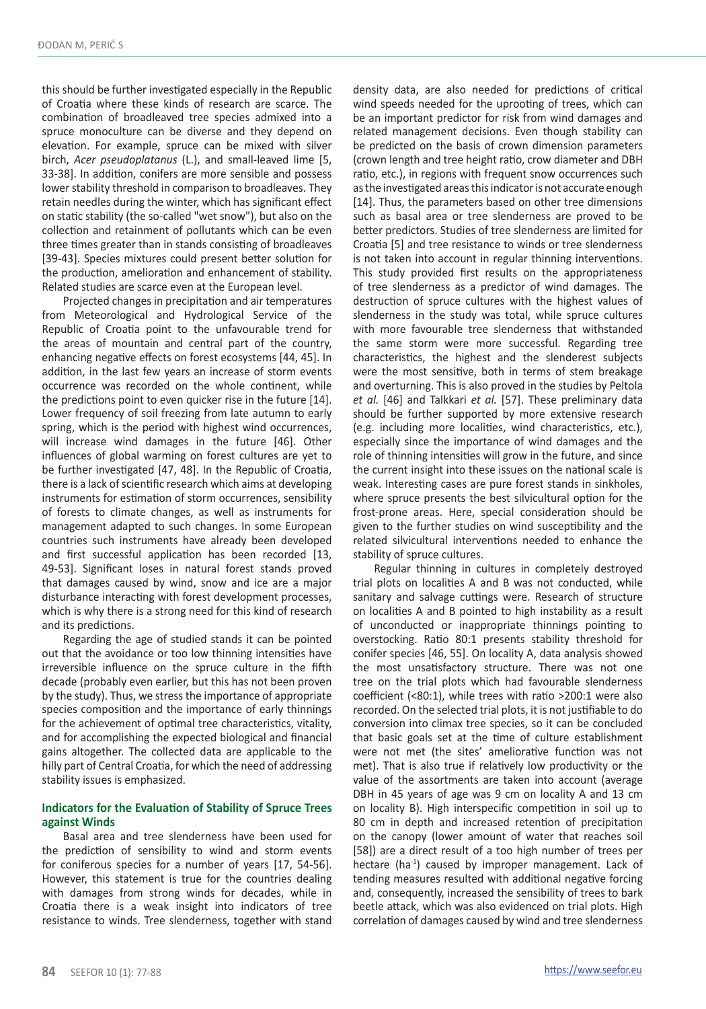this should be further investigated especially in the Republic of Croatia where these kinds of research are scarce. The combination of broadleaved tree species admixed into a spruce monoculture can be diverse and they depend on elevation. For example, spruce can be mixed with silver birch, *Acer pseudoplatanus* (L.), and small-leaved lime [5, 33-38]. In addition, conifers are more sensible and possess lower stability threshold in comparison to broadleaves. They retain needles during the winter, which has significant effect on static stability (the so-called "wet snow"), but also on the collection and retainment of pollutants which can be even three times greater than in stands consisting of broadleaves [39-43]. Species mixtures could present better solution for the production, amelioration and enhancement of stability. Related studies are scarce even at the European level.

Projected changes in precipitation and air temperatures from Meteorological and Hydrological Service of the Republic of Croatia point to the unfavourable trend for the areas of mountain and central part of the country, enhancing negative effects on forest ecosystems [44, 45]. In addition, in the last few years an increase of storm events occurrence was recorded on the whole continent, while the predictions point to even quicker rise in the future [14]. Lower frequency of soil freezing from late autumn to early spring, which is the period with highest wind occurrences, will increase wind damages in the future [46]. Other influences of global warming on forest cultures are yet to be further investigated [47, 48]. In the Republic of Croatia, there is a lack of scientific research which aims at developing instruments for estimation of storm occurrences, sensibility of forests to climate changes, as well as instruments for management adapted to such changes. In some European countries such instruments have already been developed and first successful application has been recorded [13, 49-53]. Significant loses in natural forest stands proved that damages caused by wind, snow and ice are a major disturbance interacting with forest development processes, which is why there is a strong need for this kind of research and its predictions.

Regarding the age of studied stands it can be pointed out that the avoidance or too low thinning intensities have irreversible influence on the spruce culture in the fifth decade (probably even earlier, but this has not been proven by the study). Thus, we stress the importance of appropriate species composition and the importance of early thinnings for the achievement of optimal tree characteristics, vitality, and for accomplishing the expected biological and financial gains altogether. The collected data are applicable to the hilly part of Central Croatia, for which the need of addressing stability issues is emphasized.

# **Indicators for the Evaluation of Stability of Spruce Trees against Winds**

Basal area and tree slenderness have been used for the prediction of sensibility to wind and storm events for coniferous species for a number of years [17, 54-56]. However, this statement is true for the countries dealing with damages from strong winds for decades, while in Croatia there is a weak insight into indicators of tree resistance to winds. Tree slenderness, together with stand density data, are also needed for predictions of critical wind speeds needed for the uprooting of trees, which can be an important predictor for risk from wind damages and related management decisions. Even though stability can be predicted on the basis of crown dimension parameters (crown length and tree height ratio, crow diameter and DBH ratio, etc.), in regions with frequent snow occurrences such as the investigated areas this indicator is not accurate enough [14]. Thus, the parameters based on other tree dimensions such as basal area or tree slenderness are proved to be better predictors. Studies of tree slenderness are limited for Croatia [5] and tree resistance to winds or tree slenderness is not taken into account in regular thinning interventions. This study provided first results on the appropriateness of tree slenderness as a predictor of wind damages. The destruction of spruce cultures with the highest values of slenderness in the study was total, while spruce cultures with more favourable tree slenderness that withstanded the same storm were more successful. Regarding tree characteristics, the highest and the slenderest subjects were the most sensitive, both in terms of stem breakage and overturning. This is also proved in the studies by Peltola *et al.* [46] and Talkkari *et al.* [57]. These preliminary data should be further supported by more extensive research (e.g. including more localities, wind characteristics, etc.), especially since the importance of wind damages and the role of thinning intensities will grow in the future, and since the current insight into these issues on the national scale is weak. Interesting cases are pure forest stands in sinkholes, where spruce presents the best silvicultural option for the frost-prone areas. Here, special consideration should be given to the further studies on wind susceptibility and the related silvicultural interventions needed to enhance the stability of spruce cultures.

Regular thinning in cultures in completely destroyed trial plots on localities A and B was not conducted, while sanitary and salvage cuttings were. Research of structure on localities A and B pointed to high instability as a result of unconducted or inappropriate thinnings pointing to overstocking. Ratio 80:1 presents stability threshold for conifer species [46, 55]. On locality A, data analysis showed the most unsatisfactory structure. There was not one tree on the trial plots which had favourable slenderness coefficient (<80:1), while trees with ratio >200:1 were also recorded. On the selected trial plots, it is not justifiable to do conversion into climax tree species, so it can be concluded that basic goals set at the time of culture establishment were not met (the sites' ameliorative function was not met). That is also true if relatively low productivity or the value of the assortments are taken into account (average DBH in 45 years of age was 9 cm on locality A and 13 cm on locality B). High interspecific competition in soil up to 80 cm in depth and increased retention of precipitation on the canopy (lower amount of water that reaches soil [58]) are a direct result of a too high number of trees per hectare (ha<sup>-1</sup>) caused by improper management. Lack of tending measures resulted with additional negative forcing and, consequently, increased the sensibility of trees to bark beetle attack, which was also evidenced on trial plots. High correlation of damages caused by wind and tree slenderness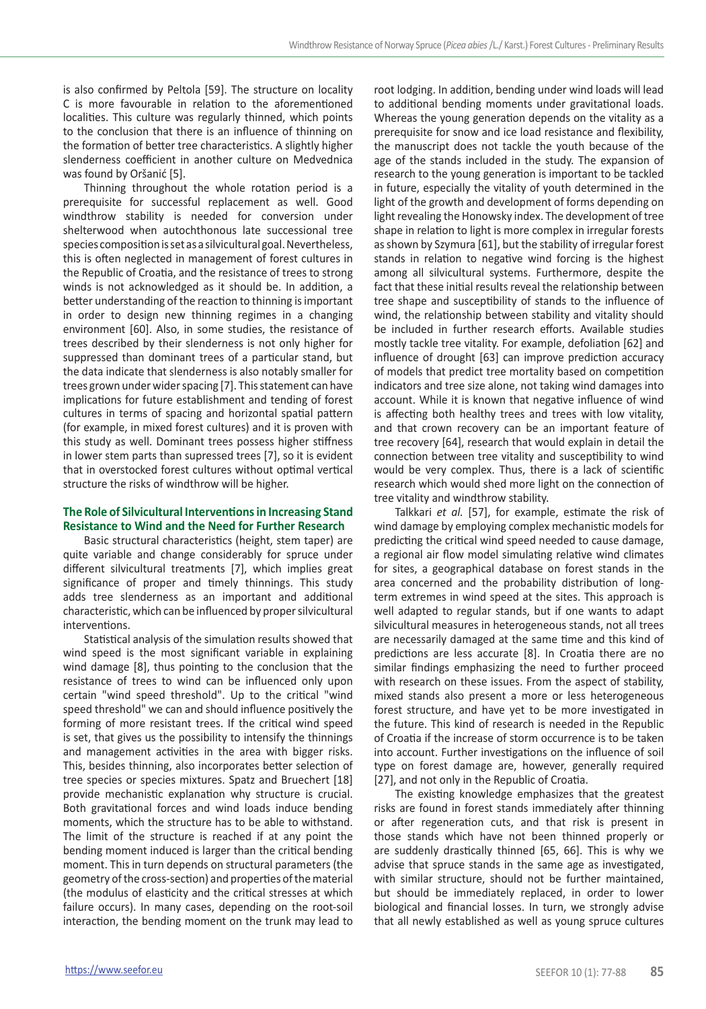is also confirmed by Peltola [59]. The structure on locality C is more favourable in relation to the aforementioned localities. This culture was regularly thinned, which points to the conclusion that there is an influence of thinning on the formation of better tree characteristics. A slightly higher slenderness coefficient in another culture on Medvednica was found by Oršanić [5].

Thinning throughout the whole rotation period is a prerequisite for successful replacement as well. Good windthrow stability is needed for conversion under shelterwood when autochthonous late successional tree species composition is set as a silvicultural goal. Nevertheless, this is often neglected in management of forest cultures in the Republic of Croatia, and the resistance of trees to strong winds is not acknowledged as it should be. In addition, a better understanding of the reaction to thinning is important in order to design new thinning regimes in a changing environment [60]. Also, in some studies, the resistance of trees described by their slenderness is not only higher for suppressed than dominant trees of a particular stand, but the data indicate that slenderness is also notably smaller for trees grown under wider spacing [7]. This statement can have implications for future establishment and tending of forest cultures in terms of spacing and horizontal spatial pattern (for example, in mixed forest cultures) and it is proven with this study as well. Dominant trees possess higher stiffness in lower stem parts than supressed trees [7], so it is evident that in overstocked forest cultures without optimal vertical structure the risks of windthrow will be higher.

## **The Role of Silvicultural Interventions in Increasing Stand Resistance to Wind and the Need for Further Research**

Basic structural characteristics (height, stem taper) are quite variable and change considerably for spruce under different silvicultural treatments [7], which implies great significance of proper and timely thinnings. This study adds tree slenderness as an important and additional characteristic, which can be influenced by proper silvicultural interventions.

Statistical analysis of the simulation results showed that wind speed is the most significant variable in explaining wind damage [8], thus pointing to the conclusion that the resistance of trees to wind can be influenced only upon certain "wind speed threshold". Up to the critical "wind speed threshold" we can and should influence positively the forming of more resistant trees. If the critical wind speed is set, that gives us the possibility to intensify the thinnings and management activities in the area with bigger risks. This, besides thinning, also incorporates better selection of tree species or species mixtures. Spatz and Bruechert [18] provide mechanistic explanation why structure is crucial. Both gravitational forces and wind loads induce bending moments, which the structure has to be able to withstand. The limit of the structure is reached if at any point the bending moment induced is larger than the critical bending moment. This in turn depends on structural parameters (the geometry of the cross-section) and properties of the material (the modulus of elasticity and the critical stresses at which failure occurs). In many cases, depending on the root-soil interaction, the bending moment on the trunk may lead to

root lodging. In addition, bending under wind loads will lead to additional bending moments under gravitational loads. Whereas the young generation depends on the vitality as a prerequisite for snow and ice load resistance and flexibility. the manuscript does not tackle the youth because of the age of the stands included in the study. The expansion of research to the young generation is important to be tackled in future, especially the vitality of youth determined in the light of the growth and development of forms depending on light revealing the Honowsky index. The development of tree shape in relation to light is more complex in irregular forests as shown by Szymura [61], but the stability of irregular forest stands in relation to negative wind forcing is the highest among all silvicultural systems. Furthermore, despite the fact that these initial results reveal the relationship between tree shape and susceptibility of stands to the influence of wind, the relationship between stability and vitality should be included in further research efforts. Available studies mostly tackle tree vitality. For example, defoliation [62] and influence of drought [63] can improve prediction accuracy of models that predict tree mortality based on competition indicators and tree size alone, not taking wind damages into account. While it is known that negative influence of wind is affecting both healthy trees and trees with low vitality, and that crown recovery can be an important feature of tree recovery [64], research that would explain in detail the connection between tree vitality and susceptibility to wind would be very complex. Thus, there is a lack of scientific research which would shed more light on the connection of tree vitality and windthrow stability.

Talkkari *et al.* [57], for example, estimate the risk of wind damage by employing complex mechanistic models for predicting the critical wind speed needed to cause damage, a regional air flow model simulating relative wind climates for sites, a geographical database on forest stands in the area concerned and the probability distribution of longterm extremes in wind speed at the sites. This approach is well adapted to regular stands, but if one wants to adapt silvicultural measures in heterogeneous stands, not all trees are necessarily damaged at the same time and this kind of predictions are less accurate [8]. In Croatia there are no similar findings emphasizing the need to further proceed with research on these issues. From the aspect of stability, mixed stands also present a more or less heterogeneous forest structure, and have yet to be more investigated in the future. This kind of research is needed in the Republic of Croatia if the increase of storm occurrence is to be taken into account. Further investigations on the influence of soil type on forest damage are, however, generally required [27], and not only in the Republic of Croatia.

The existing knowledge emphasizes that the greatest risks are found in forest stands immediately after thinning or after regeneration cuts, and that risk is present in those stands which have not been thinned properly or are suddenly drastically thinned [65, 66]. This is why we advise that spruce stands in the same age as investigated, with similar structure, should not be further maintained, but should be immediately replaced, in order to lower biological and financial losses. In turn, we strongly advise that all newly established as well as young spruce cultures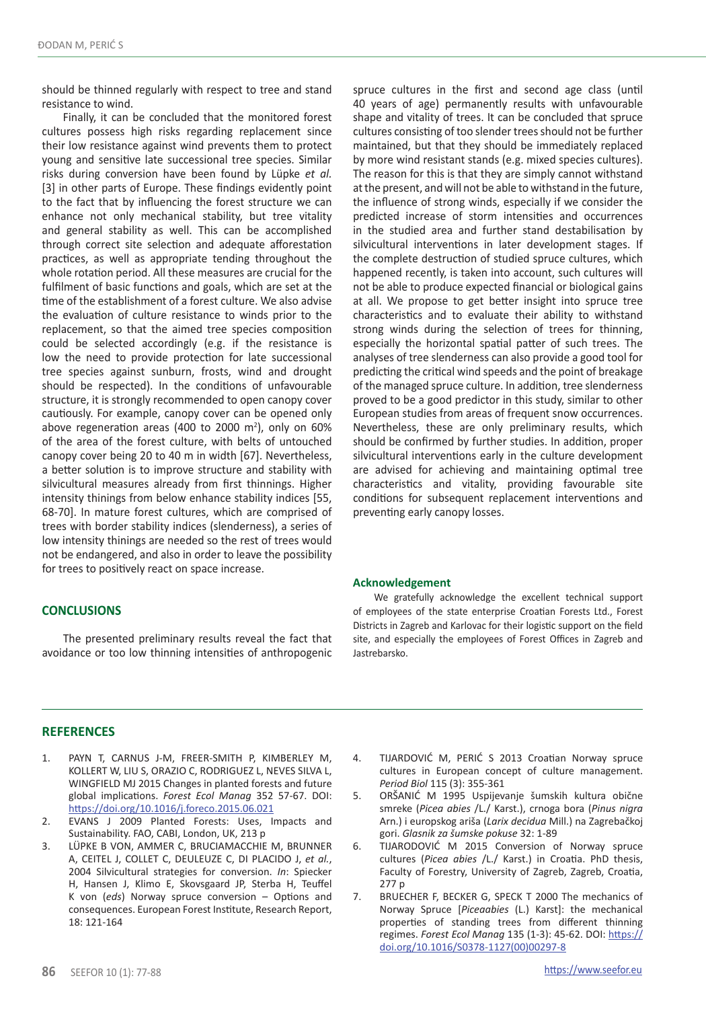should be thinned regularly with respect to tree and stand resistance to wind.

Finally, it can be concluded that the monitored forest cultures possess high risks regarding replacement since their low resistance against wind prevents them to protect young and sensitive late successional tree species. Similar risks during conversion have been found by Lüpke *et al.* [3] in other parts of Europe. These findings evidently point to the fact that by influencing the forest structure we can enhance not only mechanical stability, but tree vitality and general stability as well. This can be accomplished through correct site selection and adequate afforestation practices, as well as appropriate tending throughout the whole rotation period. All these measures are crucial for the fulfilment of basic functions and goals, which are set at the time of the establishment of a forest culture. We also advise the evaluation of culture resistance to winds prior to the replacement, so that the aimed tree species composition could be selected accordingly (e.g. if the resistance is low the need to provide protection for late successional tree species against sunburn, frosts, wind and drought should be respected). In the conditions of unfavourable structure, it is strongly recommended to open canopy cover cautiously. For example, canopy cover can be opened only above regeneration areas (400 to 2000  $m^2$ ), only on 60% of the area of the forest culture, with belts of untouched canopy cover being 20 to 40 m in width [67]. Nevertheless, a better solution is to improve structure and stability with silvicultural measures already from first thinnings. Higher intensity thinings from below enhance stability indices [55, 68-70]. In mature forest cultures, which are comprised of trees with border stability indices (slenderness), a series of low intensity thinings are needed so the rest of trees would not be endangered, and also in order to leave the possibility for trees to positively react on space increase.

## **CONCLUSIONS**

The presented preliminary results reveal the fact that avoidance or too low thinning intensities of anthropogenic spruce cultures in the first and second age class (until 40 years of age) permanently results with unfavourable shape and vitality of trees. It can be concluded that spruce cultures consisting of too slender trees should not be further maintained, but that they should be immediately replaced by more wind resistant stands (e.g. mixed species cultures). The reason for this is that they are simply cannot withstand at the present, and will not be able to withstand in the future, the influence of strong winds, especially if we consider the predicted increase of storm intensities and occurrences in the studied area and further stand destabilisation by silvicultural interventions in later development stages. If the complete destruction of studied spruce cultures, which happened recently, is taken into account, such cultures will not be able to produce expected financial or biological gains at all. We propose to get better insight into spruce tree characteristics and to evaluate their ability to withstand strong winds during the selection of trees for thinning, especially the horizontal spatial patter of such trees. The analyses of tree slenderness can also provide a good tool for predicting the critical wind speeds and the point of breakage of the managed spruce culture. In addition, tree slenderness proved to be a good predictor in this study, similar to other European studies from areas of frequent snow occurrences. Nevertheless, these are only preliminary results, which should be confirmed by further studies. In addition, proper silvicultural interventions early in the culture development are advised for achieving and maintaining optimal tree characteristics and vitality, providing favourable site conditions for subsequent replacement interventions and preventing early canopy losses.

#### **Acknowledgement**

We gratefully acknowledge the excellent technical support of employees of the state enterprise Croatian Forests Ltd., Forest Districts in Zagreb and Karlovac for their logistic support on the field site, and especially the employees of Forest Offices in Zagreb and Jastrebarsko.

#### **REFERENCES**

- 1. PAYN T, CARNUS J-M, FREER-SMITH P, KIMBERLEY M, KOLLERT W, LIU S, ORAZIO C, RODRIGUEZ L, NEVES SILVA L, WINGFIELD MJ 2015 Changes in planted forests and future global implications. *Forest Ecol Manag* 352 57-67. DOI: <https://doi.org/10.1016/j.foreco.2015.06.021>
- 2. EVANS J 2009 Planted Forests: Uses, Impacts and Sustainability. FAO, CABI, London, UK, 213 p
- 3. LÜPKE B VON, AMMER C, BRUCIAMACCHIE M, BRUNNER A, CEITEL J, COLLET C, DEULEUZE C, DI PLACIDO J, *et al.*, 2004 Silvicultural strategies for conversion. *In*: Spiecker H, Hansen J, Klimo E, Skovsgaard JP, Sterba H, Teuffel K von (*eds*) Norway spruce conversion – Options and consequences. European Forest Institute, Research Report, 18: 121-164
- 4. TIJARDOVIĆ M, PERIĆ S 2013 Croatian Norway spruce cultures in European concept of culture management. *Period Biol* 115 (3): 355-361
- 5. ORŠANIĆ M 1995 Uspijevanje šumskih kultura obične smreke (*Picea abies* /L./ Karst.), crnoga bora (*Pinus nigra*  Arn.) i europskog ariša (*Larix decidua* Mill.) na Zagrebačkoj gori. *Glasnik za šumske pokuse* 32: 1-89
- 6. TIJARODOVIĆ M 2015 Conversion of Norway spruce cultures (*Picea abies* /L./ Karst.) in Croatia. PhD thesis, Faculty of Forestry, University of Zagreb, Zagreb, Croatia, 277 p
- 7. BRUECHER F, BECKER G, SPECK T 2000 The mechanics of Norway Spruce [*Piceaabies* (L.) Karst]: the mechanical properties of standing trees from different thinning regimes. *Forest Ecol Manag* 135 (1-3): 45-62. DOI: [https://](https://doi.org/10.1016/S0378-1127(00)00297-8) [doi.org/10.1016/S0378-1127\(00\)00297-8](https://doi.org/10.1016/S0378-1127(00)00297-8)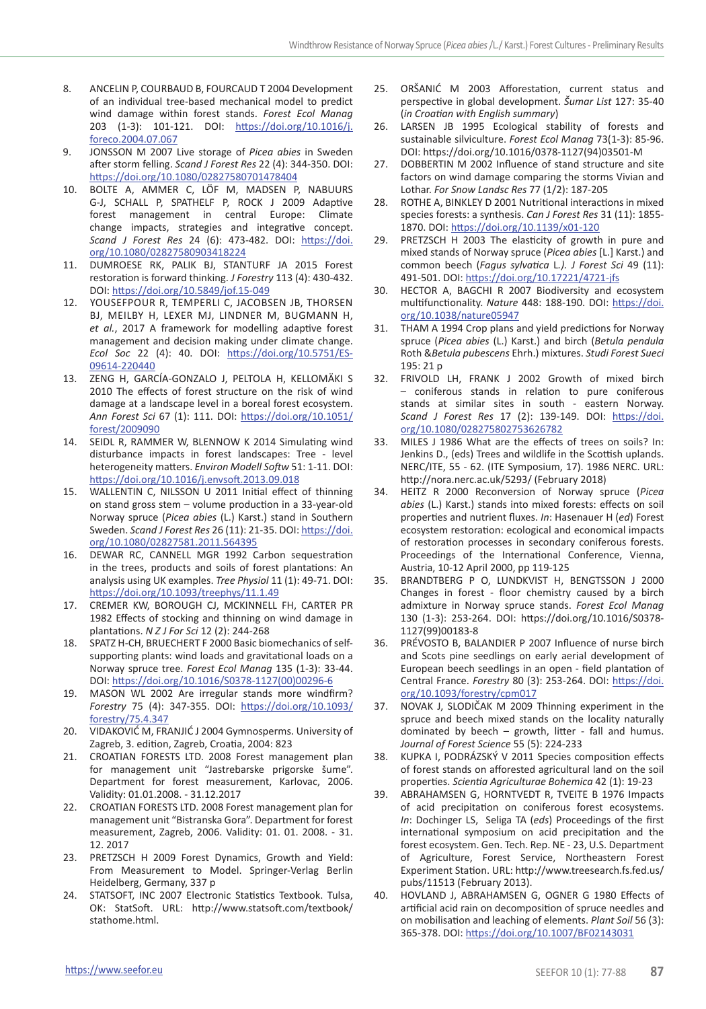- 8. ANCELIN P, COURBAUD B, FOURCAUD T 2004 Development of an individual tree-based mechanical model to predict wind damage within forest stands. *Forest Ecol Manag* 203 (1-3): 101-121. DOI: [https://doi.org/10.1016/j.](https://doi.org/10.1016/j.foreco.2004.07.067) [foreco.2004.07.067](https://doi.org/10.1016/j.foreco.2004.07.067)
- 9. JONSSON M 2007 Live storage of *Picea abies* in Sweden after storm felling. *Scand J Forest Res* 22 (4): 344-350. DOI: <https://doi.org/10.1080/02827580701478404>
- 10. BOLTE A, AMMER C, LÖF M, MADSEN P, NABUURS G-J, SCHALL P, SPATHELF P, ROCK J 2009 Adaptive forest management in central Europe: Climate change impacts, strategies and integrative concept. *Scand J Forest Res* 24 (6): 473-482. DOI: [https://doi.](https://doi.org/10.1080/02827580903418224) [org/10.1080/02827580903418224](https://doi.org/10.1080/02827580903418224)
- 11. DUMROESE RK, PALIK BJ, STANTURF JA 2015 Forest restoration is forward thinking. *J Forestry* 113 (4): 430-432. DOI: <https://doi.org/10.5849/jof.15-049>
- 12. Yousefpour R, Temperli C, Jacobsen JB, Thorsen BJ, Meilby H, Lexer MJ, Lindner M, Bugmann H, *et al.*, 2017 A framework for modelling adaptive forest management and decision making under climate change. *Ecol Soc* 22 (4): 40. DOI: [https://doi.org/10.5751/ES-](https://doi.org/10.5751/ES-09614-220440)[09614-220440](https://doi.org/10.5751/ES-09614-220440)
- 13. ZENG H, GARCÍA-GONZALO J, PELTOLA H, KELLOMÄKI S 2010 The effects of forest structure on the risk of wind damage at a landscape level in a boreal forest ecosystem. *Ann Forest Sci* 67 (1): 111. DOI: [https://doi.org/10.1051/](https://doi.org/10.1051/forest/2009090) [forest/2009090](https://doi.org/10.1051/forest/2009090)
- 14. SEIDL R, RAMMER W, BLENNOW K 2014 Simulating wind disturbance impacts in forest landscapes: Tree - level heterogeneity matters. *Environ Modell Softw* 51: 1-11. DOI: <https://doi.org/10.1016/j.envsoft.2013.09.018>
- 15. WALLENTIN C, NILSSON U 2011 Initial effect of thinning on stand gross stem – volume production in a 33-year-old Norway spruce (*Picea abies* (L.) Karst.) stand in Southern Sweden. *Scand J Forest Res* 26 (11): 21-35. DOI: [https://doi.](https://doi.org/10.1080/02827581.2011.564395) [org/10.1080/02827581.2011.564395](https://doi.org/10.1080/02827581.2011.564395)
- 16. DEWAR RC, CANNELL MGR 1992 Carbon sequestration in the trees, products and soils of forest plantations: An analysis using UK examples. *Tree Physiol* 11 (1): 49-71. DOI: <https://doi.org/10.1093/treephys/11.1.49>
- 17. CREMER KW, BOROUGH CJ, MCKINNELL FH, CARTER PR 1982 Effects of stocking and thinning on wind damage in plantations. *N Z J For Sci* 12 (2): 244-268
- 18. SPATZ H-CH, BRUECHERT F 2000 Basic biomechanics of selfsupporting plants: wind loads and gravitational loads on a Norway spruce tree. *Forest Ecol Manag* 135 (1-3): 33-44. DOI: [https://doi.org/10.1016/S0378-1127\(00\)00296-6](https://doi.org/10.1016/S0378-1127(00)00296-6)
- 19. MASON WL 2002 Are irregular stands more windfirm? *Forestry* 75 (4): 347-355. DOI: [https://doi.org/10.1093/](https://doi.org/10.1093/forestry/75.4.347) [forestry/75.4.347](https://doi.org/10.1093/forestry/75.4.347)
- 20. VIDAKOVIĆ M, FRANJIĆ J 2004 Gymnosperms. University of Zagreb, 3. edition, Zagreb, Croatia, 2004: 823
- 21. CROATIAN FORESTS LTD. 2008 Forest management plan for management unit "Jastrebarske prigorske šume". Department for forest measurement, Karlovac, 2006. Validity: 01.01.2008. - 31.12.2017
- 22. CROATIAN FORESTS LTD. 2008 Forest management plan for management unit "Bistranska Gora". Department for forest measurement, Zagreb, 2006. Validity: 01. 01. 2008. - 31. 12. 2017
- 23. PRETZSCH H 2009 Forest Dynamics, Growth and Yield: From Measurement to Model. Springer-Verlag Berlin Heidelberg, Germany, 337 p
- 24. STATSOFT, INC 2007 Electronic Statistics Textbook. Tulsa, OK: StatSoft. URL: http://www.statsoft.com/textbook/ stathome.html.
- 25. ORŠANIĆ M 2003 Afforestation, current status and perspective in global development. *Šumar List* 127: 35-40 (*in Croatian with English summary*)
- 26. LARSEN JB 1995 Ecological stability of forests and sustainable silviculture. *Forest Ecol Manag* 73(1-3): 85-96. DOI: https://doi.org/10.1016/0378-1127(94)03501-M
- 27. DOBBERTIN M 2002 Influence of stand structure and site factors on wind damage comparing the storms Vivian and Lothar. *For Snow Landsc Res* 77 (1/2): 187-205
- 28. ROTHE A, BINKLEY D 2001 Nutritional interactions in mixed species forests: a synthesis. *Can J Forest Res* 31 (11): 1855- 1870. DOI:<https://doi.org/10.1139/x01-120>
- 29. PRETZSCH H 2003 The elasticity of growth in pure and mixed stands of Norway spruce (*Picea abies* [L.] Karst.) and common beech (*Fagus sylvatica* L*.). J Forest Sci* 49 (11): 491-501. DOI:<https://doi.org/10.17221/4721-jfs>
- 30. HECTOR A, BAGCHI R 2007 Biodiversity and ecosystem multifunctionality. *Nature* 448: 188-190. DOI: [https://doi.](https://doi.org/10.1038/nature05947) [org/10.1038/nature05947](https://doi.org/10.1038/nature05947)
- 31. THAM A 1994 Crop plans and yield predictions for Norway spruce (*Picea abies* (L.) Karst.) and birch (*Betula pendula* Roth &*Betula pubescens* Ehrh.) mixtures. *Studi Forest Sueci*  $195:21n$
- 32. FRIVOLD LH, FRANK J 2002 Growth of mixed birch – coniferous stands in relation to pure coniferous stands at similar sites in south - eastern Norway. *Scand J Forest Res* 17 (2): 139-149. DOI: [https://doi.](https://doi.org/10.1080/028275802753626782) [org/10.1080/028275802753626782](https://doi.org/10.1080/028275802753626782)
- 33. MILES J 1986 What are the effects of trees on soils? In: Jenkins D., (eds) Trees and wildlife in the Scottish uplands. NERC/ITE, 55 - 62. (ITE Symposium, 17). 1986 NERC. URL: http://nora.nerc.ac.uk/5293/ (February 2018)
- 34. HEITZ R 2000 Reconversion of Norway spruce (*Picea abies* (L.) Karst.) stands into mixed forests: effects on soil properties and nutrient fluxes. *In*: Hasenauer H (*ed*) Forest ecosystem restoration: ecological and economical impacts of restoration processes in secondary coniferous forests. Proceedings of the International Conference, Vienna, Austria, 10-12 April 2000, pp 119-125
- 35. BRANDTBERG P O, LUNDKVIST H, BENGTSSON J 2000 Changes in forest - floor chemistry caused by a birch admixture in Norway spruce stands. *Forest Ecol Manag*  130 (1-3): 253-264. DOI: https://doi.org/10.1016/S0378- 1127(99)00183-8
- 36. PRÉVOSTO B, BALANDIER P 2007 Influence of nurse birch and Scots pine seedlings on early aerial development of European beech seedlings in an open - field plantation of Central France. *Forestry* 80 (3): 253-264. DOI: [https://doi.](https://doi.org/10.1093/forestry/cpm017) [org/10.1093/forestry/cpm017](https://doi.org/10.1093/forestry/cpm017)
- 37. NOVAK J, SLODIČAK M 2009 Thinning experiment in the spruce and beech mixed stands on the locality naturally dominated by beech  $-$  growth, litter - fall and humus. *Journal of Forest Science* 55 (5): 224-233
- 38. KUPKA I, PODRÁZSKÝ V 2011 Species composition effects of forest stands on afforested agricultural land on the soil properties. *Scientia Agriculturae Bohemica* 42 (1): 19-23
- 39. ABRAHAMSEN G, HORNTVEDT R, TVEITE B 1976 Impacts of acid precipitation on coniferous forest ecosystems. *In*: Dochinger LS, Seliga TA (*eds*) Proceedings of the first international symposium on acid precipitation and the forest ecosystem. Gen. Tech. Rep. NE - 23, U.S. Department of Agriculture, Forest Service, Northeastern Forest Experiment Station. URL: http://www.treesearch.fs.fed.us/ pubs/11513 (February 2013).
- 40. HOVLAND J, ABRAHAMSEN G, OGNER G 1980 Effects of artificial acid rain on decomposition of spruce needles and on mobilisation and leaching of elements. *Plant Soil* 56 (3): 365-378. DOI: https://doi.org/10.1007/BF02143031